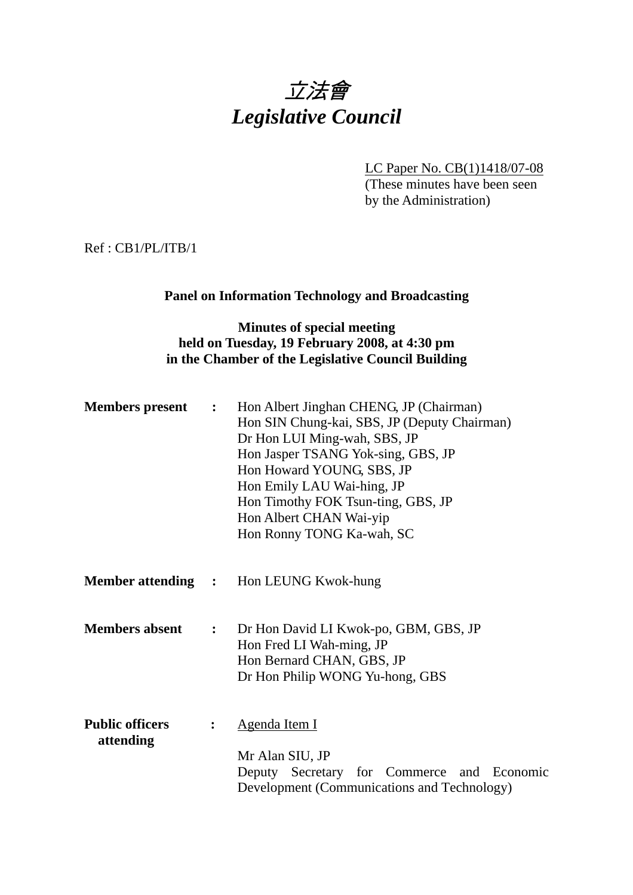# 立法會 *Legislative Council*

LC Paper No. CB(1)1418/07-08

(These minutes have been seen by the Administration)

Ref : CB1/PL/ITB/1

#### **Panel on Information Technology and Broadcasting**

#### **Minutes of special meeting held on Tuesday, 19 February 2008, at 4:30 pm in the Chamber of the Legislative Council Building**

| <b>Members</b> present              | $\ddot{\cdot}$   | Hon Albert Jinghan CHENG, JP (Chairman)<br>Hon SIN Chung-kai, SBS, JP (Deputy Chairman)<br>Dr Hon LUI Ming-wah, SBS, JP<br>Hon Jasper TSANG Yok-sing, GBS, JP<br>Hon Howard YOUNG, SBS, JP<br>Hon Emily LAU Wai-hing, JP<br>Hon Timothy FOK Tsun-ting, GBS, JP<br>Hon Albert CHAN Wai-yip<br>Hon Ronny TONG Ka-wah, SC |  |
|-------------------------------------|------------------|------------------------------------------------------------------------------------------------------------------------------------------------------------------------------------------------------------------------------------------------------------------------------------------------------------------------|--|
|                                     |                  | <b>Member attending : Hon LEUNG Kwok-hung</b>                                                                                                                                                                                                                                                                          |  |
| <b>Members absent</b>               | $\ddot{\bullet}$ | Dr Hon David LI Kwok-po, GBM, GBS, JP<br>Hon Fred LI Wah-ming, JP<br>Hon Bernard CHAN, GBS, JP<br>Dr Hon Philip WONG Yu-hong, GBS                                                                                                                                                                                      |  |
| <b>Public officers</b><br>attending | $\ddot{\cdot}$   | <u>Agenda Item I</u><br>Mr Alan SIU, JP<br>Deputy Secretary for Commerce and Economic<br>Development (Communications and Technology)                                                                                                                                                                                   |  |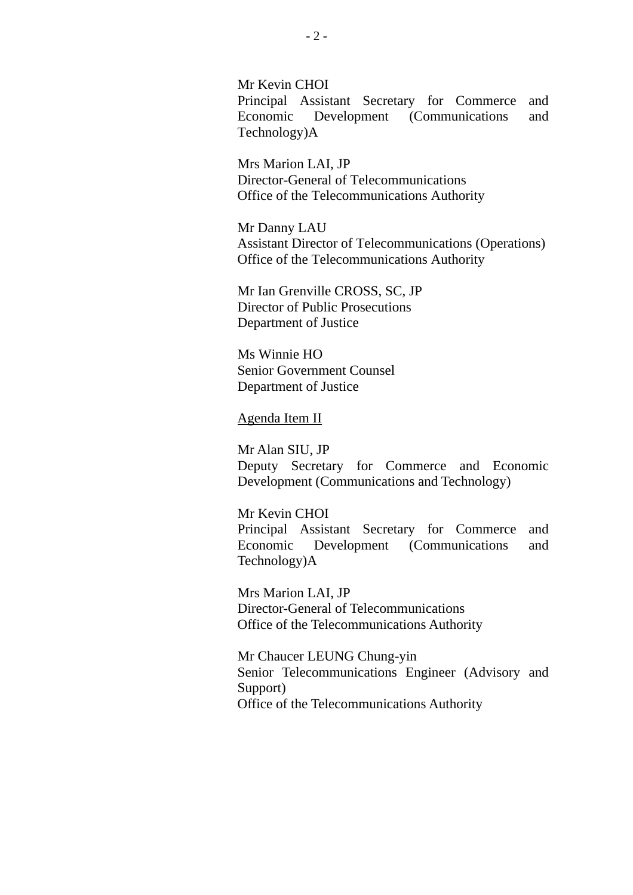Mr Kevin CHOI Principal Assistant Secretary for Commerce and Economic Development (Communications and Technology)A

Mrs Marion LAI, JP Director-General of Telecommunications Office of the Telecommunications Authority

Mr Danny LAU Assistant Director of Telecommunications (Operations) Office of the Telecommunications Authority

Mr Ian Grenville CROSS, SC, JP Director of Public Prosecutions Department of Justice

Ms Winnie HO Senior Government Counsel Department of Justice

#### Agenda Item II

Mr Alan SIU, JP Deputy Secretary for Commerce and Economic Development (Communications and Technology)

Mr Kevin CHOI Principal Assistant Secretary for Commerce and Economic Development (Communications and Technology)A

Mrs Marion LAI, JP Director-General of Telecommunications Office of the Telecommunications Authority

Mr Chaucer LEUNG Chung-yin Senior Telecommunications Engineer (Advisory and Support) Office of the Telecommunications Authority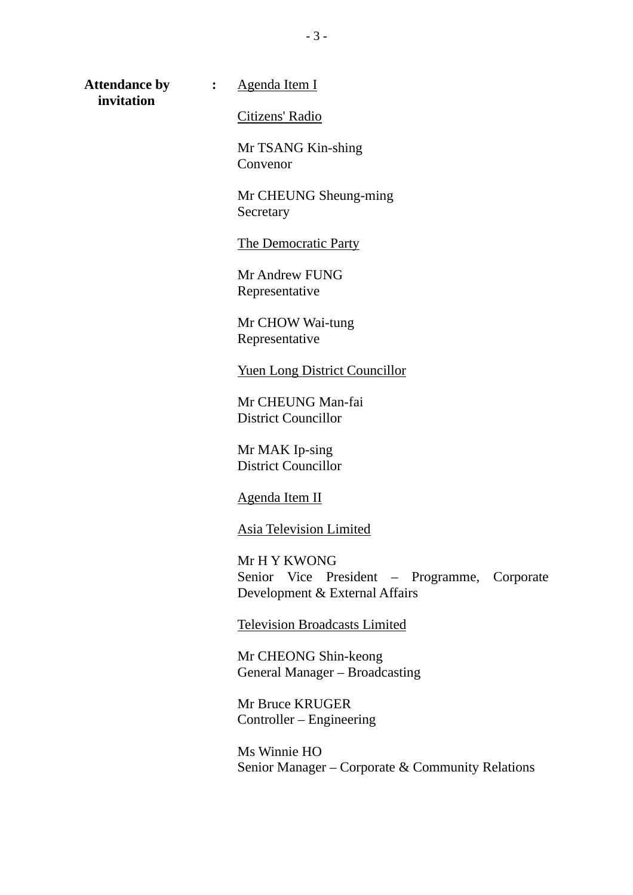**invitation** 

Attendance by : Agenda Item I

Citizens' Radio

Mr TSANG Kin-shing Convenor

Mr CHEUNG Sheung-ming Secretary

The Democratic Party

Mr Andrew FUNG Representative

Mr CHOW Wai-tung Representative

Yuen Long District Councillor

Mr CHEUNG Man-fai District Councillor

Mr MAK Ip-sing District Councillor

Agenda Item II

Asia Television Limited

Mr H Y KWONG Senior Vice President – Programme, Corporate Development & External Affairs

Television Broadcasts Limited

Mr CHEONG Shin-keong General Manager – Broadcasting

Mr Bruce KRUGER Controller – Engineering

Ms Winnie HO Senior Manager – Corporate & Community Relations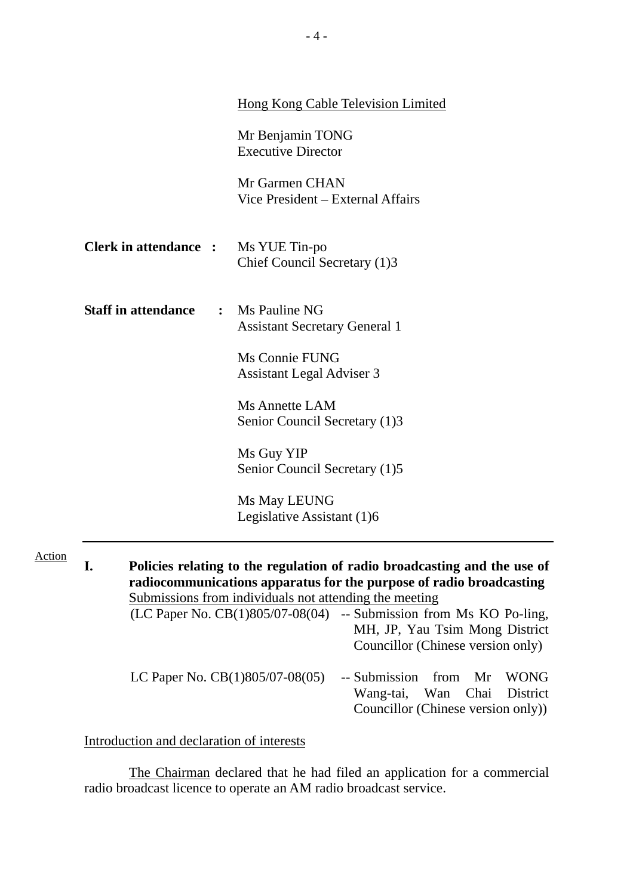|                              | <b>Hong Kong Cable Television Limited</b>                                |
|------------------------------|--------------------------------------------------------------------------|
|                              | Mr Benjamin TONG<br><b>Executive Director</b>                            |
|                              | Mr Garmen CHAN<br>Vice President – External Affairs                      |
| <b>Clerk in attendance :</b> | Ms YUE Tin-po<br>Chief Council Secretary (1)3                            |
| <b>Staff in attendance</b>   | : Ms Pauline NG<br><b>Assistant Secretary General 1</b>                  |
|                              | Ms Connie FUNG<br><b>Assistant Legal Adviser 3</b>                       |
|                              | <b>Ms Annette LAM</b><br>Senior Council Secretary (1)3                   |
|                              | Ms Guy YIP<br>Senior Council Secretary (1)5                              |
|                              | Ms May LEUNG<br>Legislative Assistant (1)6                               |
| I.                           | Policies relating to the regulation of radio broadcasting and the use of |

| T UNCLES TERRING TO THE TEGNIALION OF FAULO DI URUGASING AND THE USE OF                         |
|-------------------------------------------------------------------------------------------------|
| radiocommunications apparatus for the purpose of radio broadcasting                             |
| Submissions from individuals not attending the meeting                                          |
| $(LC$ Paper No. $CB(1)805/07-08(04)$ -- Submission from Ms KO Po-ling,                          |
| MH, JP, Yau Tsim Mong District                                                                  |
| Councillor (Chinese version only)                                                               |
| -- Submission from Mr WONG<br>Wang-tai, Wan Chai District<br>Councillor (Chinese version only)) |
|                                                                                                 |

Introduction and declaration of interests

Action

 The Chairman declared that he had filed an application for a commercial radio broadcast licence to operate an AM radio broadcast service.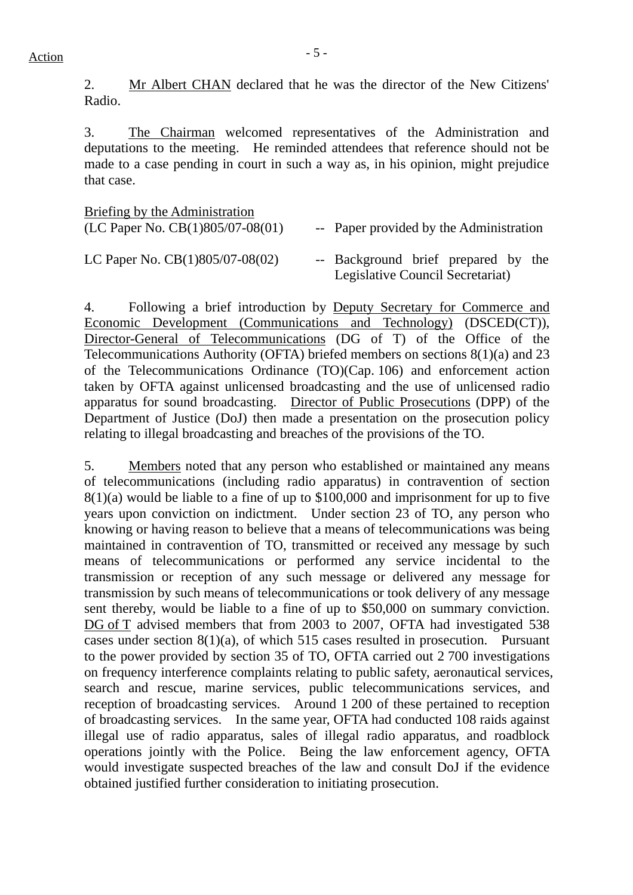2. Mr Albert CHAN declared that he was the director of the New Citizens' Radio.

3. The Chairman welcomed representatives of the Administration and deputations to the meeting. He reminded attendees that reference should not be made to a case pending in court in such a way as, in his opinion, might prejudice that case.

| Briefing by the Administration       |                                                                         |
|--------------------------------------|-------------------------------------------------------------------------|
| (LC Paper No. $CB(1)805/07-08(01)$ ) | -- Paper provided by the Administration                                 |
| LC Paper No. $CB(1)805/07-08(02)$    | -- Background brief prepared by the<br>Legislative Council Secretariat) |

4. Following a brief introduction by Deputy Secretary for Commerce and Economic Development (Communications and Technology) (DSCED(CT)), Director-General of Telecommunications (DG of T) of the Office of the Telecommunications Authority (OFTA) briefed members on sections 8(1)(a) and 23 of the Telecommunications Ordinance (TO)(Cap. 106) and enforcement action taken by OFTA against unlicensed broadcasting and the use of unlicensed radio apparatus for sound broadcasting. Director of Public Prosecutions (DPP) of the Department of Justice (DoJ) then made a presentation on the prosecution policy relating to illegal broadcasting and breaches of the provisions of the TO.

5. Members noted that any person who established or maintained any means of telecommunications (including radio apparatus) in contravention of section 8(1)(a) would be liable to a fine of up to \$100,000 and imprisonment for up to five years upon conviction on indictment. Under section 23 of TO, any person who knowing or having reason to believe that a means of telecommunications was being maintained in contravention of TO, transmitted or received any message by such means of telecommunications or performed any service incidental to the transmission or reception of any such message or delivered any message for transmission by such means of telecommunications or took delivery of any message sent thereby, would be liable to a fine of up to \$50,000 on summary conviction. DG of T advised members that from 2003 to 2007, OFTA had investigated 538 cases under section  $8(1)(a)$ , of which 515 cases resulted in prosecution. Pursuant to the power provided by section 35 of TO, OFTA carried out 2 700 investigations on frequency interference complaints relating to public safety, aeronautical services, search and rescue, marine services, public telecommunications services, and reception of broadcasting services. Around 1 200 of these pertained to reception of broadcasting services. In the same year, OFTA had conducted 108 raids against illegal use of radio apparatus, sales of illegal radio apparatus, and roadblock operations jointly with the Police. Being the law enforcement agency, OFTA would investigate suspected breaches of the law and consult DoJ if the evidence obtained justified further consideration to initiating prosecution.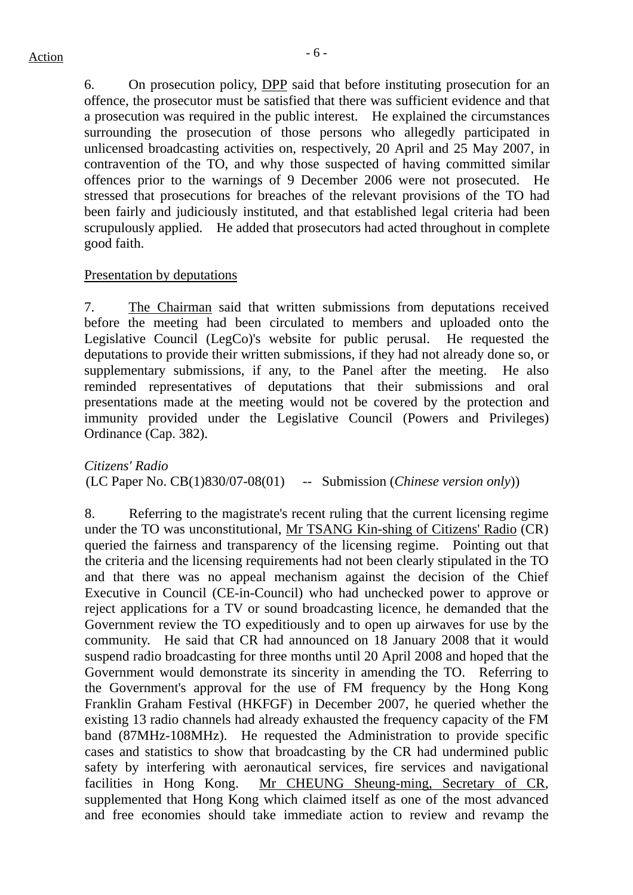6. On prosecution policy, DPP said that before instituting prosecution for an offence, the prosecutor must be satisfied that there was sufficient evidence and that a prosecution was required in the public interest. He explained the circumstances surrounding the prosecution of those persons who allegedly participated in unlicensed broadcasting activities on, respectively, 20 April and 25 May 2007, in contravention of the TO, and why those suspected of having committed similar offences prior to the warnings of 9 December 2006 were not prosecuted. He stressed that prosecutions for breaches of the relevant provisions of the TO had been fairly and judiciously instituted, and that established legal criteria had been scrupulously applied. He added that prosecutors had acted throughout in complete good faith.

#### Presentation by deputations

7. The Chairman said that written submissions from deputations received before the meeting had been circulated to members and uploaded onto the Legislative Council (LegCo)'s website for public perusal. He requested the deputations to provide their written submissions, if they had not already done so, or supplementary submissions, if any, to the Panel after the meeting. He also reminded representatives of deputations that their submissions and oral presentations made at the meeting would not be covered by the protection and immunity provided under the Legislative Council (Powers and Privileges) Ordinance (Cap. 382).

*Citizens' Radio* (LC Paper No. CB(1)830/07-08(01) -- Submission (*Chinese version only*))

8. Referring to the magistrate's recent ruling that the current licensing regime under the TO was unconstitutional, Mr TSANG Kin-shing of Citizens' Radio (CR) queried the fairness and transparency of the licensing regime. Pointing out that the criteria and the licensing requirements had not been clearly stipulated in the TO and that there was no appeal mechanism against the decision of the Chief Executive in Council (CE-in-Council) who had unchecked power to approve or reject applications for a TV or sound broadcasting licence, he demanded that the Government review the TO expeditiously and to open up airwaves for use by the community. He said that CR had announced on 18 January 2008 that it would suspend radio broadcasting for three months until 20 April 2008 and hoped that the Government would demonstrate its sincerity in amending the TO. Referring to the Government's approval for the use of FM frequency by the Hong Kong Franklin Graham Festival (HKFGF) in December 2007, he queried whether the existing 13 radio channels had already exhausted the frequency capacity of the FM band (87MHz-108MHz). He requested the Administration to provide specific cases and statistics to show that broadcasting by the CR had undermined public safety by interfering with aeronautical services, fire services and navigational facilities in Hong Kong. Mr CHEUNG Sheung-ming, Secretary of CR, supplemented that Hong Kong which claimed itself as one of the most advanced and free economies should take immediate action to review and revamp the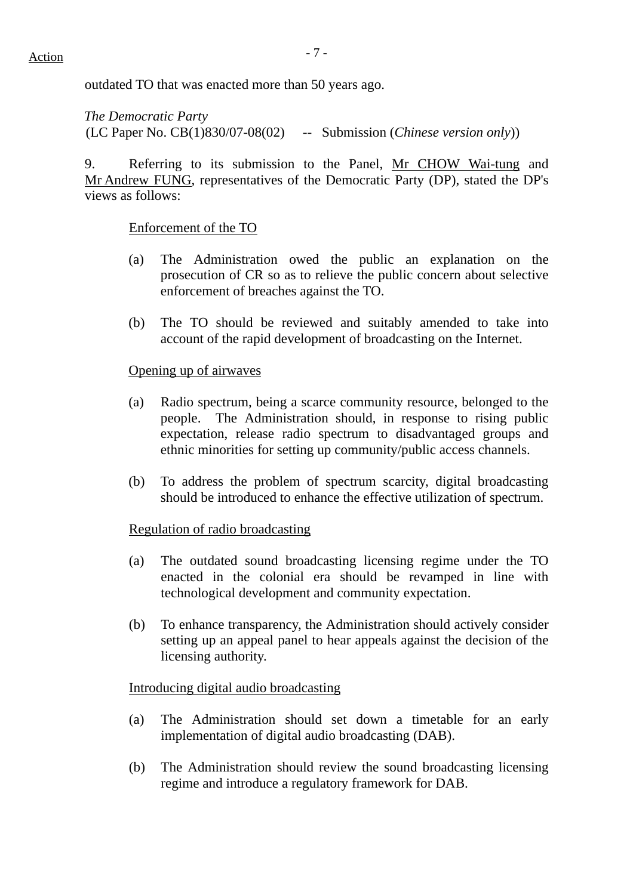# $Action$

outdated TO that was enacted more than 50 years ago.

*The Democratic Party*  (LC Paper No. CB(1)830/07-08(02) -- Submission (*Chinese version only*))

9. Referring to its submission to the Panel, Mr CHOW Wai-tung and Mr Andrew FUNG, representatives of the Democratic Party (DP), stated the DP's views as follows:

#### Enforcement of the TO

- (a) The Administration owed the public an explanation on the prosecution of CR so as to relieve the public concern about selective enforcement of breaches against the TO.
- (b) The TO should be reviewed and suitably amended to take into account of the rapid development of broadcasting on the Internet.

#### Opening up of airwaves

- (a) Radio spectrum, being a scarce community resource, belonged to the people. The Administration should, in response to rising public expectation, release radio spectrum to disadvantaged groups and ethnic minorities for setting up community/public access channels.
- (b) To address the problem of spectrum scarcity, digital broadcasting should be introduced to enhance the effective utilization of spectrum.

#### Regulation of radio broadcasting

- (a) The outdated sound broadcasting licensing regime under the TO enacted in the colonial era should be revamped in line with technological development and community expectation.
- (b) To enhance transparency, the Administration should actively consider setting up an appeal panel to hear appeals against the decision of the licensing authority.

#### Introducing digital audio broadcasting

- (a) The Administration should set down a timetable for an early implementation of digital audio broadcasting (DAB).
- (b) The Administration should review the sound broadcasting licensing regime and introduce a regulatory framework for DAB.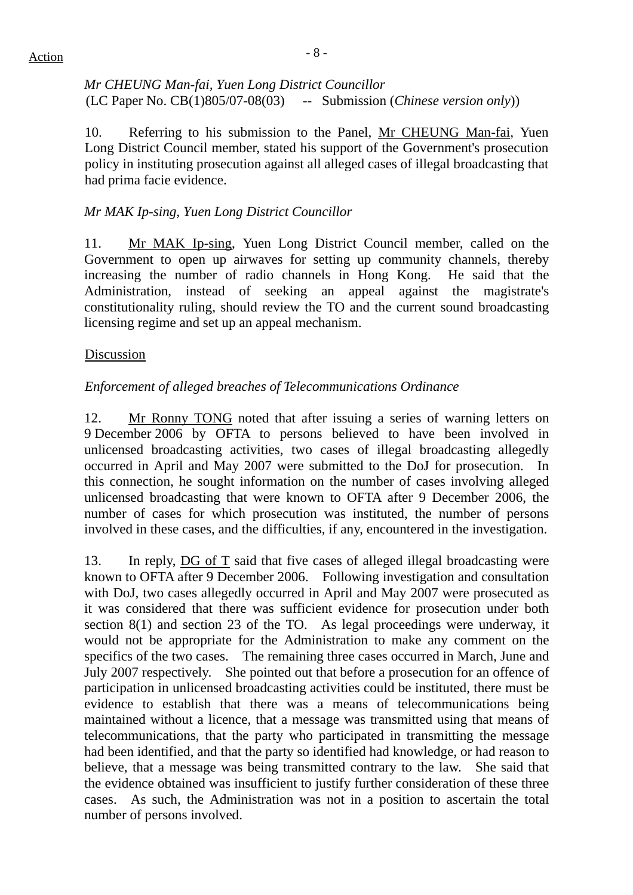# $Action$

*Mr CHEUNG Man-fai, Yuen Long District Councillor*  (LC Paper No. CB(1)805/07-08(03) -- Submission (*Chinese version only*))

10. Referring to his submission to the Panel, Mr CHEUNG Man-fai, Yuen Long District Council member, stated his support of the Government's prosecution policy in instituting prosecution against all alleged cases of illegal broadcasting that had prima facie evidence.

## *Mr MAK Ip-sing, Yuen Long District Councillor*

11. Mr MAK Ip-sing, Yuen Long District Council member, called on the Government to open up airwaves for setting up community channels, thereby increasing the number of radio channels in Hong Kong. He said that the Administration, instead of seeking an appeal against the magistrate's constitutionality ruling, should review the TO and the current sound broadcasting licensing regime and set up an appeal mechanism.

#### Discussion

## *Enforcement of alleged breaches of Telecommunications Ordinance*

12. Mr Ronny TONG noted that after issuing a series of warning letters on 9 December 2006 by OFTA to persons believed to have been involved in unlicensed broadcasting activities, two cases of illegal broadcasting allegedly occurred in April and May 2007 were submitted to the DoJ for prosecution. In this connection, he sought information on the number of cases involving alleged unlicensed broadcasting that were known to OFTA after 9 December 2006, the number of cases for which prosecution was instituted, the number of persons involved in these cases, and the difficulties, if any, encountered in the investigation.

13. In reply, DG of T said that five cases of alleged illegal broadcasting were known to OFTA after 9 December 2006. Following investigation and consultation with DoJ, two cases allegedly occurred in April and May 2007 were prosecuted as it was considered that there was sufficient evidence for prosecution under both section 8(1) and section 23 of the TO. As legal proceedings were underway, it would not be appropriate for the Administration to make any comment on the specifics of the two cases. The remaining three cases occurred in March, June and July 2007 respectively. She pointed out that before a prosecution for an offence of participation in unlicensed broadcasting activities could be instituted, there must be evidence to establish that there was a means of telecommunications being maintained without a licence, that a message was transmitted using that means of telecommunications, that the party who participated in transmitting the message had been identified, and that the party so identified had knowledge, or had reason to believe, that a message was being transmitted contrary to the law. She said that the evidence obtained was insufficient to justify further consideration of these three cases. As such, the Administration was not in a position to ascertain the total number of persons involved.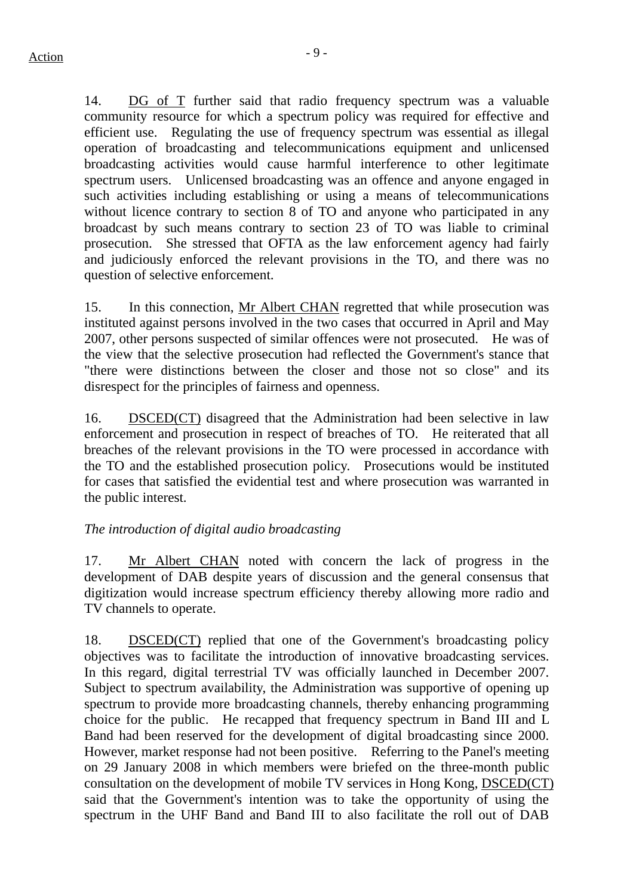14. DG of T further said that radio frequency spectrum was a valuable community resource for which a spectrum policy was required for effective and efficient use. Regulating the use of frequency spectrum was essential as illegal operation of broadcasting and telecommunications equipment and unlicensed broadcasting activities would cause harmful interference to other legitimate spectrum users. Unlicensed broadcasting was an offence and anyone engaged in such activities including establishing or using a means of telecommunications without licence contrary to section 8 of TO and anyone who participated in any broadcast by such means contrary to section 23 of TO was liable to criminal prosecution. She stressed that OFTA as the law enforcement agency had fairly and judiciously enforced the relevant provisions in the TO, and there was no question of selective enforcement.

15. In this connection, Mr Albert CHAN regretted that while prosecution was instituted against persons involved in the two cases that occurred in April and May 2007, other persons suspected of similar offences were not prosecuted. He was of the view that the selective prosecution had reflected the Government's stance that "there were distinctions between the closer and those not so close" and its disrespect for the principles of fairness and openness.

16. DSCED(CT) disagreed that the Administration had been selective in law enforcement and prosecution in respect of breaches of TO. He reiterated that all breaches of the relevant provisions in the TO were processed in accordance with the TO and the established prosecution policy. Prosecutions would be instituted for cases that satisfied the evidential test and where prosecution was warranted in the public interest.

#### *The introduction of digital audio broadcasting*

17. Mr Albert CHAN noted with concern the lack of progress in the development of DAB despite years of discussion and the general consensus that digitization would increase spectrum efficiency thereby allowing more radio and TV channels to operate.

18. DSCED(CT) replied that one of the Government's broadcasting policy objectives was to facilitate the introduction of innovative broadcasting services. In this regard, digital terrestrial TV was officially launched in December 2007. Subject to spectrum availability, the Administration was supportive of opening up spectrum to provide more broadcasting channels, thereby enhancing programming choice for the public. He recapped that frequency spectrum in Band III and L Band had been reserved for the development of digital broadcasting since 2000. However, market response had not been positive. Referring to the Panel's meeting on 29 January 2008 in which members were briefed on the three-month public consultation on the development of mobile TV services in Hong Kong, DSCED(CT) said that the Government's intention was to take the opportunity of using the spectrum in the UHF Band and Band III to also facilitate the roll out of DAB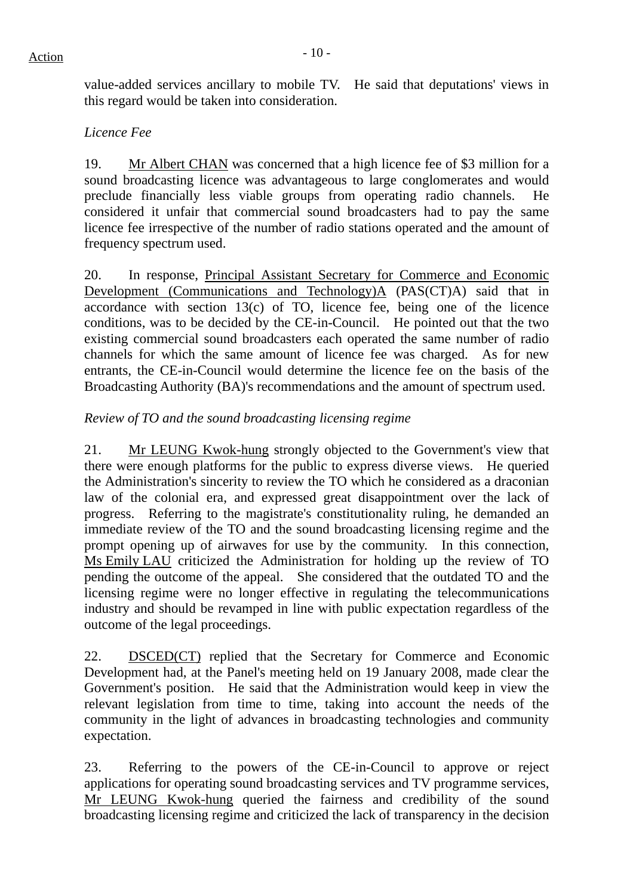value-added services ancillary to mobile TV. He said that deputations' views in this regard would be taken into consideration.

#### *Licence Fee*

19. Mr Albert CHAN was concerned that a high licence fee of \$3 million for a sound broadcasting licence was advantageous to large conglomerates and would preclude financially less viable groups from operating radio channels. He considered it unfair that commercial sound broadcasters had to pay the same licence fee irrespective of the number of radio stations operated and the amount of frequency spectrum used.

20. In response, Principal Assistant Secretary for Commerce and Economic Development (Communications and Technology)A (PAS(CT)A) said that in accordance with section  $13(c)$  of TO, licence fee, being one of the licence conditions, was to be decided by the CE-in-Council. He pointed out that the two existing commercial sound broadcasters each operated the same number of radio channels for which the same amount of licence fee was charged. As for new entrants, the CE-in-Council would determine the licence fee on the basis of the Broadcasting Authority (BA)'s recommendations and the amount of spectrum used.

## *Review of TO and the sound broadcasting licensing regime*

21. Mr LEUNG Kwok-hung strongly objected to the Government's view that there were enough platforms for the public to express diverse views. He queried the Administration's sincerity to review the TO which he considered as a draconian law of the colonial era, and expressed great disappointment over the lack of progress. Referring to the magistrate's constitutionality ruling, he demanded an immediate review of the TO and the sound broadcasting licensing regime and the prompt opening up of airwaves for use by the community. In this connection, Ms Emily LAU criticized the Administration for holding up the review of TO pending the outcome of the appeal. She considered that the outdated TO and the licensing regime were no longer effective in regulating the telecommunications industry and should be revamped in line with public expectation regardless of the outcome of the legal proceedings.

22. DSCED(CT) replied that the Secretary for Commerce and Economic Development had, at the Panel's meeting held on 19 January 2008, made clear the Government's position. He said that the Administration would keep in view the relevant legislation from time to time, taking into account the needs of the community in the light of advances in broadcasting technologies and community expectation.

23. Referring to the powers of the CE-in-Council to approve or reject applications for operating sound broadcasting services and TV programme services, Mr LEUNG Kwok-hung queried the fairness and credibility of the sound broadcasting licensing regime and criticized the lack of transparency in the decision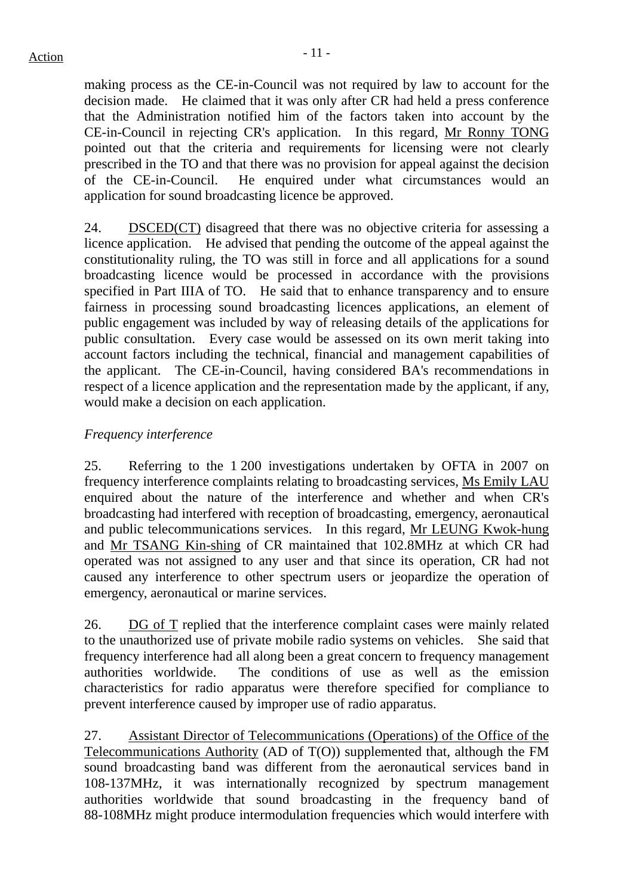making process as the CE-in-Council was not required by law to account for the decision made. He claimed that it was only after CR had held a press conference that the Administration notified him of the factors taken into account by the CE-in-Council in rejecting CR's application. In this regard, Mr Ronny TONG pointed out that the criteria and requirements for licensing were not clearly prescribed in the TO and that there was no provision for appeal against the decision of the CE-in-Council. He enquired under what circumstances would an application for sound broadcasting licence be approved.

24. DSCED(CT) disagreed that there was no objective criteria for assessing a licence application. He advised that pending the outcome of the appeal against the constitutionality ruling, the TO was still in force and all applications for a sound broadcasting licence would be processed in accordance with the provisions specified in Part IIIA of TO. He said that to enhance transparency and to ensure fairness in processing sound broadcasting licences applications, an element of public engagement was included by way of releasing details of the applications for public consultation. Every case would be assessed on its own merit taking into account factors including the technical, financial and management capabilities of the applicant. The CE-in-Council, having considered BA's recommendations in respect of a licence application and the representation made by the applicant, if any, would make a decision on each application.

#### *Frequency interference*

25. Referring to the 1 200 investigations undertaken by OFTA in 2007 on frequency interference complaints relating to broadcasting services, Ms Emily LAU enquired about the nature of the interference and whether and when CR's broadcasting had interfered with reception of broadcasting, emergency, aeronautical and public telecommunications services. In this regard, Mr LEUNG Kwok-hung and Mr TSANG Kin-shing of CR maintained that 102.8MHz at which CR had operated was not assigned to any user and that since its operation, CR had not caused any interference to other spectrum users or jeopardize the operation of emergency, aeronautical or marine services.

26. DG of T replied that the interference complaint cases were mainly related to the unauthorized use of private mobile radio systems on vehicles. She said that frequency interference had all along been a great concern to frequency management authorities worldwide. The conditions of use as well as the emission characteristics for radio apparatus were therefore specified for compliance to prevent interference caused by improper use of radio apparatus.

27. Assistant Director of Telecommunications (Operations) of the Office of the Telecommunications Authority (AD of T(O)) supplemented that, although the FM sound broadcasting band was different from the aeronautical services band in 108-137MHz, it was internationally recognized by spectrum management authorities worldwide that sound broadcasting in the frequency band of 88-108MHz might produce intermodulation frequencies which would interfere with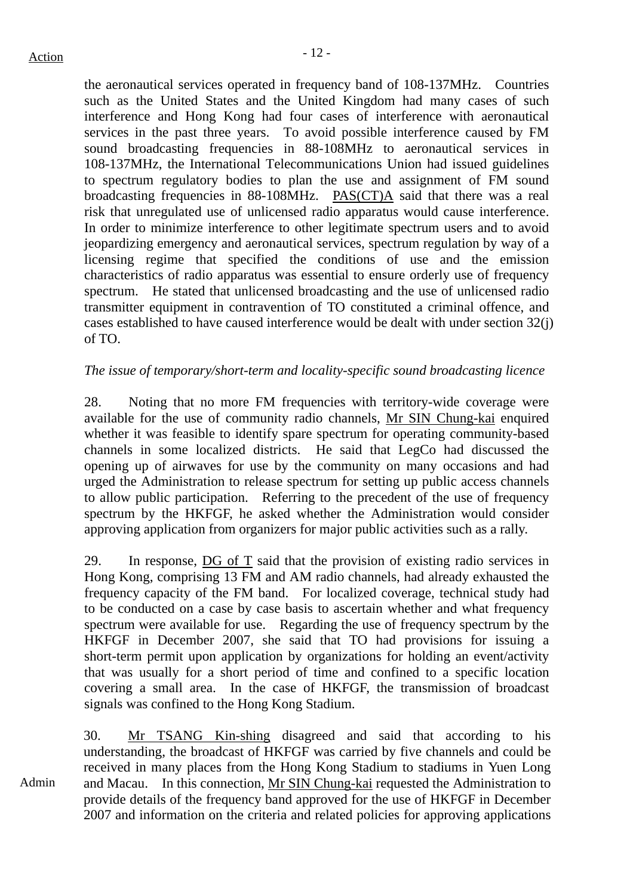the aeronautical services operated in frequency band of 108-137MHz. Countries such as the United States and the United Kingdom had many cases of such interference and Hong Kong had four cases of interference with aeronautical services in the past three years. To avoid possible interference caused by FM sound broadcasting frequencies in 88-108MHz to aeronautical services in 108-137MHz, the International Telecommunications Union had issued guidelines to spectrum regulatory bodies to plan the use and assignment of FM sound broadcasting frequencies in 88-108MHz. PAS(CT)A said that there was a real risk that unregulated use of unlicensed radio apparatus would cause interference. In order to minimize interference to other legitimate spectrum users and to avoid jeopardizing emergency and aeronautical services, spectrum regulation by way of a licensing regime that specified the conditions of use and the emission characteristics of radio apparatus was essential to ensure orderly use of frequency spectrum. He stated that unlicensed broadcasting and the use of unlicensed radio transmitter equipment in contravention of TO constituted a criminal offence, and cases established to have caused interference would be dealt with under section 32(j) of TO.

#### *The issue of temporary/short-term and locality-specific sound broadcasting licence*

28. Noting that no more FM frequencies with territory-wide coverage were available for the use of community radio channels, Mr SIN Chung-kai enquired whether it was feasible to identify spare spectrum for operating community-based channels in some localized districts. He said that LegCo had discussed the opening up of airwaves for use by the community on many occasions and had urged the Administration to release spectrum for setting up public access channels to allow public participation. Referring to the precedent of the use of frequency spectrum by the HKFGF, he asked whether the Administration would consider approving application from organizers for major public activities such as a rally.

29. In response, DG of T said that the provision of existing radio services in Hong Kong, comprising 13 FM and AM radio channels, had already exhausted the frequency capacity of the FM band. For localized coverage, technical study had to be conducted on a case by case basis to ascertain whether and what frequency spectrum were available for use. Regarding the use of frequency spectrum by the HKFGF in December 2007, she said that TO had provisions for issuing a short-term permit upon application by organizations for holding an event/activity that was usually for a short period of time and confined to a specific location covering a small area. In the case of HKFGF, the transmission of broadcast signals was confined to the Hong Kong Stadium.

Admin 30. Mr TSANG Kin-shing disagreed and said that according to his understanding, the broadcast of HKFGF was carried by five channels and could be received in many places from the Hong Kong Stadium to stadiums in Yuen Long and Macau. In this connection, Mr SIN Chung-kai requested the Administration to provide details of the frequency band approved for the use of HKFGF in December 2007 and information on the criteria and related policies for approving applications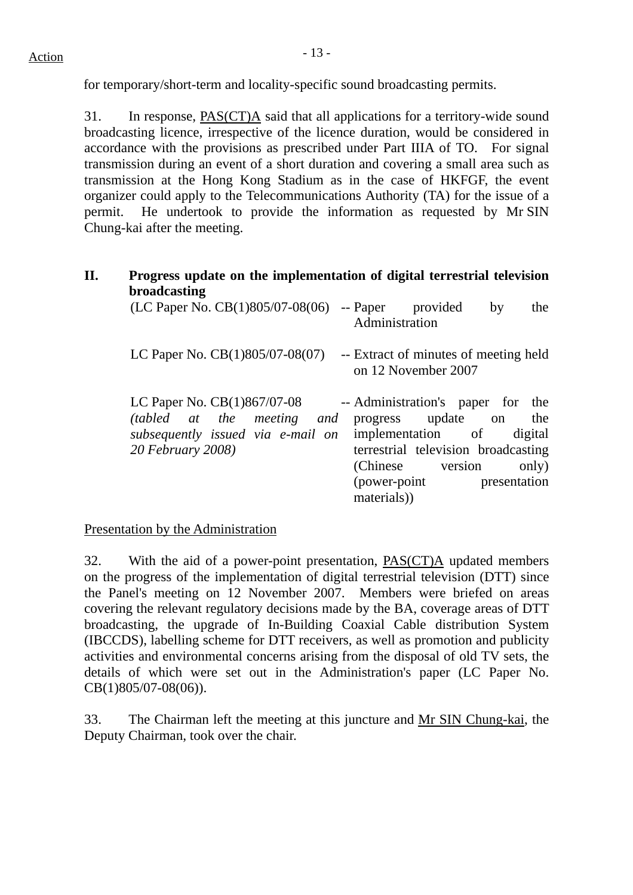for temporary/short-term and locality-specific sound broadcasting permits.

31. In response, PAS(CT)A said that all applications for a territory-wide sound broadcasting licence, irrespective of the licence duration, would be considered in accordance with the provisions as prescribed under Part IIIA of TO. For signal transmission during an event of a short duration and covering a small area such as transmission at the Hong Kong Stadium as in the case of HKFGF, the event organizer could apply to the Telecommunications Authority (TA) for the issue of a permit. He undertook to provide the information as requested by Mr SIN Chung-kai after the meeting.

#### **II. Progress update on the implementation of digital terrestrial television broadcasting**   $(C \ncap \text{Cap} \cap \text{Cep} \cap \text{Cep} \cap \text{Cep} \cap \text{Cep} \cap \text{Cep} \cap \text{Cep} \cap \text{Cep} \cap \text{Cep} \cap \text{Cep} \cap \text{Cep} \cap \text{Cep} \cap \text{Cep} \cap \text{Cep} \cap \text{Cep} \cap \text{Cep} \cap \text{Cep} \cap \text{Cep} \cap \text{Cep} \cap \text{Cep} \cap \text{Cep} \cap \text{Cep} \cap \text{Cep} \cap \text{Cep} \cap \text{Cep} \cap \text{Cep} \cap \text{Cep} \cap$

| (LC rapel NO. CD(1) $\frac{\partial U}{\partial U}$ -00(00) -- rapel provided by                                      | uie<br>Administration                                                                                                                                                                                          |
|-----------------------------------------------------------------------------------------------------------------------|----------------------------------------------------------------------------------------------------------------------------------------------------------------------------------------------------------------|
| LC Paper No. $CB(1)805/07-08(07)$                                                                                     | -- Extract of minutes of meeting held<br>on 12 November 2007                                                                                                                                                   |
| LC Paper No. $CB(1)867/07-08$<br>(tabled at the meeting and<br>subsequently issued via e-mail on<br>20 February 2008) | -- Administration's paper for the<br>progress update on<br>the<br>implementation of digital<br>terrestrial television broadcasting<br>(Chinese version<br>only)<br>(power-point)<br>presentation<br>materials) |

Presentation by the Administration

32. With the aid of a power-point presentation, PAS(CT)A updated members on the progress of the implementation of digital terrestrial television (DTT) since the Panel's meeting on 12 November 2007. Members were briefed on areas covering the relevant regulatory decisions made by the BA, coverage areas of DTT broadcasting, the upgrade of In-Building Coaxial Cable distribution System (IBCCDS), labelling scheme for DTT receivers, as well as promotion and publicity activities and environmental concerns arising from the disposal of old TV sets, the details of which were set out in the Administration's paper (LC Paper No. CB(1)805/07-08(06)).

33. The Chairman left the meeting at this juncture and Mr SIN Chung-kai, the Deputy Chairman, took over the chair.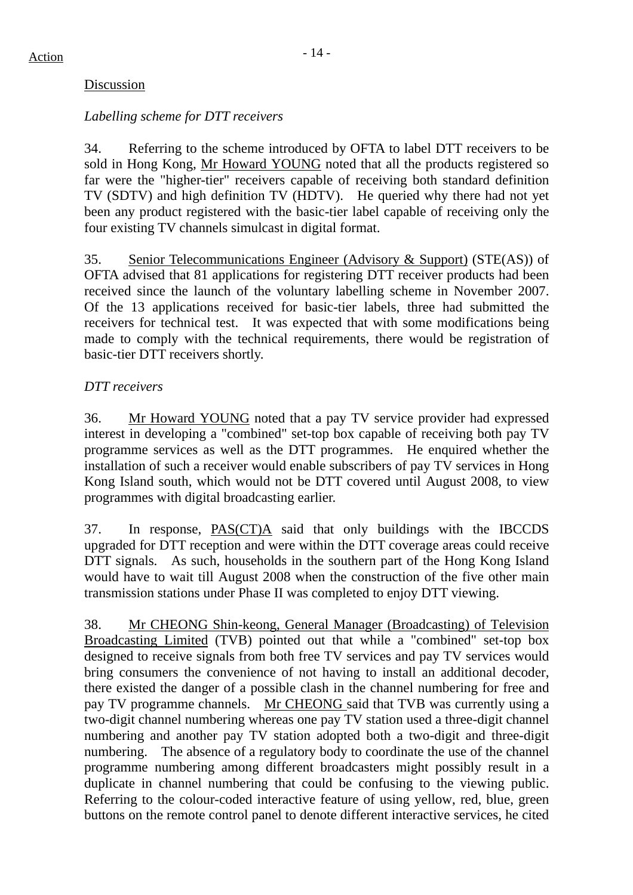#### Discussion

#### *Labelling scheme for DTT receivers*

34. Referring to the scheme introduced by OFTA to label DTT receivers to be sold in Hong Kong, Mr Howard YOUNG noted that all the products registered so far were the "higher-tier" receivers capable of receiving both standard definition TV (SDTV) and high definition TV (HDTV). He queried why there had not yet been any product registered with the basic-tier label capable of receiving only the four existing TV channels simulcast in digital format.

35. Senior Telecommunications Engineer (Advisory & Support) (STE(AS)) of OFTA advised that 81 applications for registering DTT receiver products had been received since the launch of the voluntary labelling scheme in November 2007. Of the 13 applications received for basic-tier labels, three had submitted the receivers for technical test. It was expected that with some modifications being made to comply with the technical requirements, there would be registration of basic-tier DTT receivers shortly.

## *DTT receivers*

36. Mr Howard YOUNG noted that a pay TV service provider had expressed interest in developing a "combined" set-top box capable of receiving both pay TV programme services as well as the DTT programmes. He enquired whether the installation of such a receiver would enable subscribers of pay TV services in Hong Kong Island south, which would not be DTT covered until August 2008, to view programmes with digital broadcasting earlier.

37. In response, PAS(CT)A said that only buildings with the IBCCDS upgraded for DTT reception and were within the DTT coverage areas could receive DTT signals. As such, households in the southern part of the Hong Kong Island would have to wait till August 2008 when the construction of the five other main transmission stations under Phase II was completed to enjoy DTT viewing.

38. Mr CHEONG Shin-keong, General Manager (Broadcasting) of Television Broadcasting Limited (TVB) pointed out that while a "combined" set-top box designed to receive signals from both free TV services and pay TV services would bring consumers the convenience of not having to install an additional decoder, there existed the danger of a possible clash in the channel numbering for free and pay TV programme channels. Mr CHEONG said that TVB was currently using a two-digit channel numbering whereas one pay TV station used a three-digit channel numbering and another pay TV station adopted both a two-digit and three-digit numbering. The absence of a regulatory body to coordinate the use of the channel programme numbering among different broadcasters might possibly result in a duplicate in channel numbering that could be confusing to the viewing public. Referring to the colour-coded interactive feature of using yellow, red, blue, green buttons on the remote control panel to denote different interactive services, he cited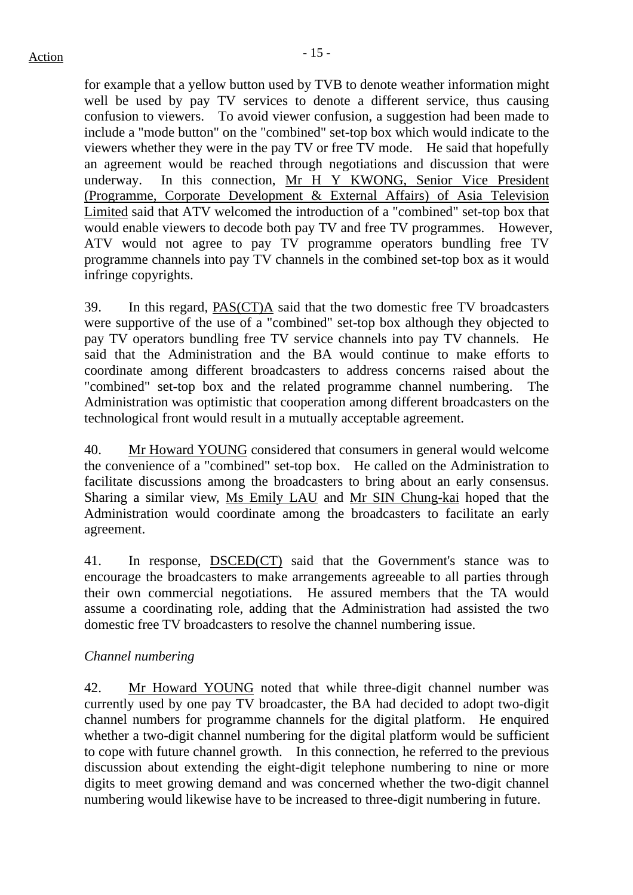for example that a yellow button used by TVB to denote weather information might well be used by pay TV services to denote a different service, thus causing confusion to viewers. To avoid viewer confusion, a suggestion had been made to include a "mode button" on the "combined" set-top box which would indicate to the viewers whether they were in the pay TV or free TV mode. He said that hopefully an agreement would be reached through negotiations and discussion that were underway. In this connection, Mr H Y KWONG, Senior Vice President (Programme, Corporate Development & External Affairs) of Asia Television Limited said that ATV welcomed the introduction of a "combined" set-top box that would enable viewers to decode both pay TV and free TV programmes. However, ATV would not agree to pay TV programme operators bundling free TV programme channels into pay TV channels in the combined set-top box as it would infringe copyrights.

39. In this regard, PAS(CT)A said that the two domestic free TV broadcasters were supportive of the use of a "combined" set-top box although they objected to pay TV operators bundling free TV service channels into pay TV channels. He said that the Administration and the BA would continue to make efforts to coordinate among different broadcasters to address concerns raised about the "combined" set-top box and the related programme channel numbering. The Administration was optimistic that cooperation among different broadcasters on the technological front would result in a mutually acceptable agreement.

40. Mr Howard YOUNG considered that consumers in general would welcome the convenience of a "combined" set-top box. He called on the Administration to facilitate discussions among the broadcasters to bring about an early consensus. Sharing a similar view, Ms Emily LAU and Mr SIN Chung-kai hoped that the Administration would coordinate among the broadcasters to facilitate an early agreement.

41. In response, DSCED(CT) said that the Government's stance was to encourage the broadcasters to make arrangements agreeable to all parties through their own commercial negotiations. He assured members that the TA would assume a coordinating role, adding that the Administration had assisted the two domestic free TV broadcasters to resolve the channel numbering issue.

#### *Channel numbering*

42. Mr Howard YOUNG noted that while three-digit channel number was currently used by one pay TV broadcaster, the BA had decided to adopt two-digit channel numbers for programme channels for the digital platform. He enquired whether a two-digit channel numbering for the digital platform would be sufficient to cope with future channel growth. In this connection, he referred to the previous discussion about extending the eight-digit telephone numbering to nine or more digits to meet growing demand and was concerned whether the two-digit channel numbering would likewise have to be increased to three-digit numbering in future.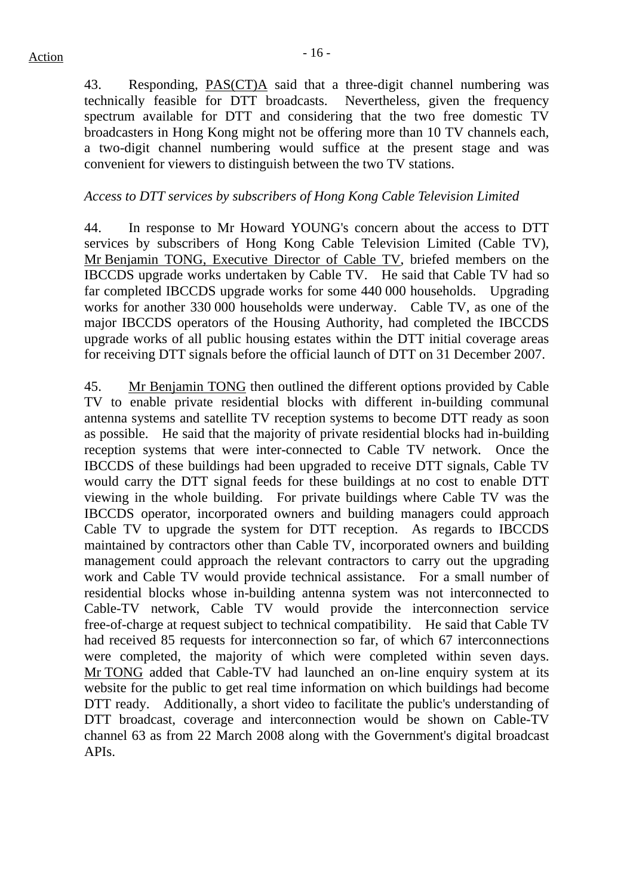43. Responding, PAS(CT)A said that a three-digit channel numbering was technically feasible for DTT broadcasts. Nevertheless, given the frequency spectrum available for DTT and considering that the two free domestic TV broadcasters in Hong Kong might not be offering more than 10 TV channels each, a two-digit channel numbering would suffice at the present stage and was convenient for viewers to distinguish between the two TV stations.

#### *Access to DTT services by subscribers of Hong Kong Cable Television Limited*

44. In response to Mr Howard YOUNG's concern about the access to DTT services by subscribers of Hong Kong Cable Television Limited (Cable TV), Mr Benjamin TONG, Executive Director of Cable TV, briefed members on the IBCCDS upgrade works undertaken by Cable TV. He said that Cable TV had so far completed IBCCDS upgrade works for some 440 000 households. Upgrading works for another 330 000 households were underway. Cable TV, as one of the major IBCCDS operators of the Housing Authority, had completed the IBCCDS upgrade works of all public housing estates within the DTT initial coverage areas for receiving DTT signals before the official launch of DTT on 31 December 2007.

45. Mr Benjamin TONG then outlined the different options provided by Cable TV to enable private residential blocks with different in-building communal antenna systems and satellite TV reception systems to become DTT ready as soon as possible. He said that the majority of private residential blocks had in-building reception systems that were inter-connected to Cable TV network. Once the IBCCDS of these buildings had been upgraded to receive DTT signals, Cable TV would carry the DTT signal feeds for these buildings at no cost to enable DTT viewing in the whole building. For private buildings where Cable TV was the IBCCDS operator, incorporated owners and building managers could approach Cable TV to upgrade the system for DTT reception. As regards to IBCCDS maintained by contractors other than Cable TV, incorporated owners and building management could approach the relevant contractors to carry out the upgrading work and Cable TV would provide technical assistance. For a small number of residential blocks whose in-building antenna system was not interconnected to Cable-TV network, Cable TV would provide the interconnection service free-of-charge at request subject to technical compatibility. He said that Cable TV had received 85 requests for interconnection so far, of which 67 interconnections were completed, the majority of which were completed within seven days. Mr TONG added that Cable-TV had launched an on-line enquiry system at its website for the public to get real time information on which buildings had become DTT ready. Additionally, a short video to facilitate the public's understanding of DTT broadcast, coverage and interconnection would be shown on Cable-TV channel 63 as from 22 March 2008 along with the Government's digital broadcast APIs.